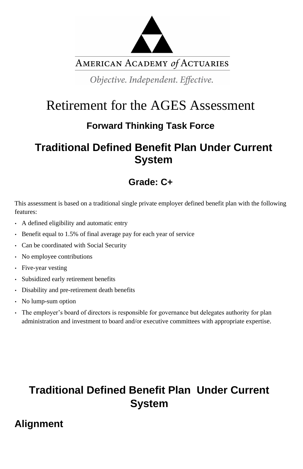

AMERICAN ACADEMY of ACTUARIES

Objective. Independent. Effective.

# Retirement for the AGES Assessment

## **Forward Thinking Task Force**

## **Traditional Defined Benefit Plan Under Current System**

## **Grade: C+**

This assessment is based on a traditional single private employer defined benefit plan with the following features:

- A defined eligibility and automatic entry
- Benefit equal to 1.5% of final average pay for each year of service
- Can be coordinated with Social Security
- No employee contributions
- Five-year vesting
- Subsidized early retirement benefits
- Disability and pre-retirement death benefits
- No lump-sum option
- The employer's board of directors is responsible for governance but delegates authority for plan administration and investment to board and/or executive committees with appropriate expertise.

# **Traditional Defined Benefit Plan Under Current System**

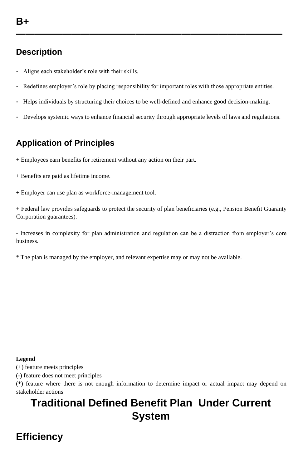**—————————————————————————————**

#### **Description**

- Aligns each stakeholder's role with their skills.
- Redefines employer's role by placing responsibility for important roles with those appropriate entities.

- Helps individuals by structuring their choices to be well-defined and enhance good decision-making.
- Develops systemic ways to enhance financial security through appropriate levels of laws and regulations.

## **Application of Principles**

- + Employees earn benefits for retirement without any action on their part.
- + Benefits are paid as lifetime income.
- + Employer can use plan as workforce-management tool.

+ Federal law provides safeguards to protect the security of plan beneficiaries (e.g., Pension Benefit Guaranty Corporation guarantees).

- Increases in complexity for plan administration and regulation can be a distraction from employer's core business.

\* The plan is managed by the employer, and relevant expertise may or may not be available.

#### **Legend**

(+) feature meets principles

(-) feature does not meet principles

(\*) feature where there is not enough information to determine impact or actual impact may depend on stakeholder actions

# **Traditional Defined Benefit Plan Under Current System**

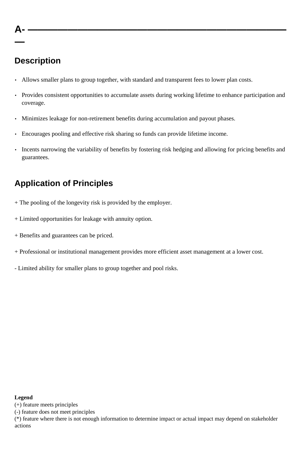**A- ——————————————————————————**

**—**

#### **Description**

- Allows smaller plans to group together, with standard and transparent fees to lower plan costs.
- Provides consistent opportunities to accumulate assets during working lifetime to enhance participation and coverage.
- Minimizes leakage for non-retirement benefits during accumulation and payout phases.
- Encourages pooling and effective risk sharing so funds can provide lifetime income.
- Incents narrowing the variability of benefits by fostering risk hedging and allowing for pricing benefits and guarantees.

#### **Application of Principles**

- + The pooling of the longevity risk is provided by the employer.
- + Limited opportunities for leakage with annuity option.
- + Benefits and guarantees can be priced.
- + Professional or institutional management provides more efficient asset management at a lower cost.
- Limited ability for smaller plans to group together and pool risks.

#### **Legend**

(+) feature meets principles

(-) feature does not meet principles

(\*) feature where there is not enough information to determine impact or actual impact may depend on stakeholder actions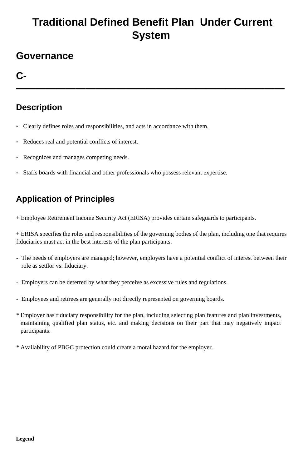# **Traditional Defined Benefit Plan Under Current System**

## **Governance**

**C-**

**———————————————————————————**

## **Description**

- Clearly defines roles and responsibilities, and acts in accordance with them.
- Reduces real and potential conflicts of interest.
- Recognizes and manages competing needs.
- Staffs boards with financial and other professionals who possess relevant expertise.

### **Application of Principles**

+ Employee Retirement Income Security Act (ERISA) provides certain safeguards to participants.

+ ERISA specifies the roles and responsibilities of the governing bodies of the plan, including one that requires fiduciaries must act in the best interests of the plan participants.

- The needs of employers are managed; however, employers have a potential conflict of interest between their role as settlor vs. fiduciary.
- Employers can be deterred by what they perceive as excessive rules and regulations.
- Employees and retirees are generally not directly represented on governing boards.
- \* Employer has fiduciary responsibility for the plan, including selecting plan features and plan investments, maintaining qualified plan status, etc. and making decisions on their part that may negatively impact participants.

\* Availability of PBGC protection could create a moral hazard for the employer.

#### **Legend**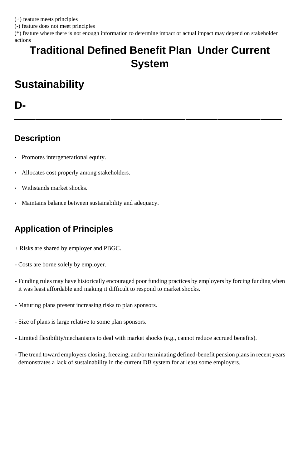(+) feature meets principles

(-) feature does not meet principles

(\*) feature where there is not enough information to determine impact or actual impact may depend on stakeholder actions

# **Traditional Defined Benefit Plan Under Current System**

# **Sustainability**

#### **D-**

**—————————————————————————**

### **Description**

- Promotes intergenerational equity.
- Allocates cost properly among stakeholders.
- Withstands market shocks.
- Maintains balance between sustainability and adequacy.

### **Application of Principles**

- + Risks are shared by employer and PBGC.
- Costs are borne solely by employer.
- Funding rules may have historically encouraged poor funding practices by employers by forcing funding when it was least affordable and making it difficult to respond to market shocks.
- Maturing plans present increasing risks to plan sponsors.
- Size of plans is large relative to some plan sponsors.
- Limited flexibility/mechanisms to deal with market shocks (e.g., cannot reduce accrued benefits).

- The trend toward employers closing, freezing, and/or terminating defined-benefit pension plans in recent years demonstrates a lack of sustainability in the current DB system for at least some employers.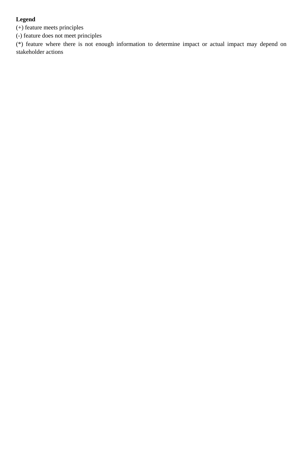#### **Legend**

(+) feature meets principles

(-) feature does not meet principles

(\*) feature where there is not enough information to determine impact or actual impact may depend on stakeholder actions